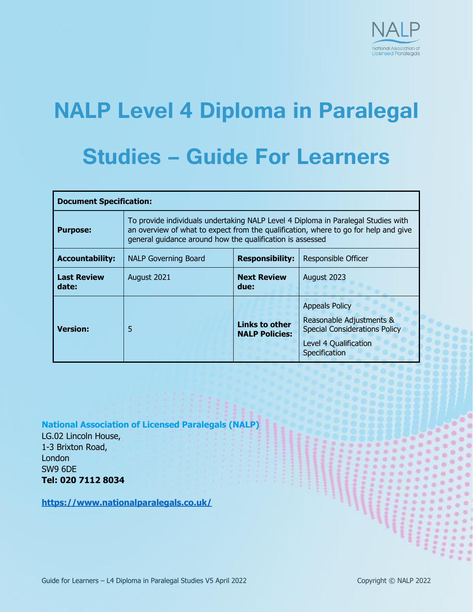

# **NALP Level 4 Diploma in Paralegal Studies – Guide For Learners**

| <b>Document Specification:</b> |                                                                                                                                                                                                                                       |                                                |                                                                                                                                     |  |
|--------------------------------|---------------------------------------------------------------------------------------------------------------------------------------------------------------------------------------------------------------------------------------|------------------------------------------------|-------------------------------------------------------------------------------------------------------------------------------------|--|
| <b>Purpose:</b>                | To provide individuals undertaking NALP Level 4 Diploma in Paralegal Studies with<br>an overview of what to expect from the qualification, where to go for help and give<br>general quidance around how the qualification is assessed |                                                |                                                                                                                                     |  |
| <b>Accountability:</b>         | <b>NALP Governing Board</b>                                                                                                                                                                                                           | <b>Responsibility:</b>                         | Responsible Officer                                                                                                                 |  |
| <b>Last Review</b><br>date:    | August 2021                                                                                                                                                                                                                           | <b>Next Review</b><br>due:                     | August 2023                                                                                                                         |  |
| <b>Version:</b>                | 5                                                                                                                                                                                                                                     | <b>Links to other</b><br><b>NALP Policies:</b> | <b>Appeals Policy</b><br>Reasonable Adjustments &<br><b>Special Considerations Policy</b><br>Level 4 Qualification<br>Specification |  |

**National Association of Licensed Paralegals (NALP)**

LG.02 Lincoln House, 1-3 Brixton Road, **London** SW9 6DE **Tel: 020 7112 8034**

**<https://www.nationalparalegals.co.uk/>**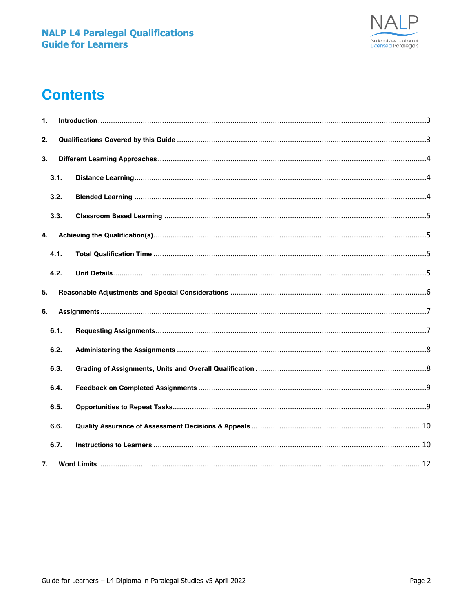

# **Contents**

| 1. |      |  |  |  |
|----|------|--|--|--|
| 2. |      |  |  |  |
| 3. |      |  |  |  |
|    | 3.1. |  |  |  |
|    | 3.2. |  |  |  |
|    | 3.3. |  |  |  |
| 4. |      |  |  |  |
|    | 4.1. |  |  |  |
|    | 4.2. |  |  |  |
| 5. |      |  |  |  |
| 6. |      |  |  |  |
|    | 6.1. |  |  |  |
|    | 6.2. |  |  |  |
|    | 6.3. |  |  |  |
|    | 6.4. |  |  |  |
|    | 6.5. |  |  |  |
|    | 6.6. |  |  |  |
|    | 6.7. |  |  |  |
| 7. |      |  |  |  |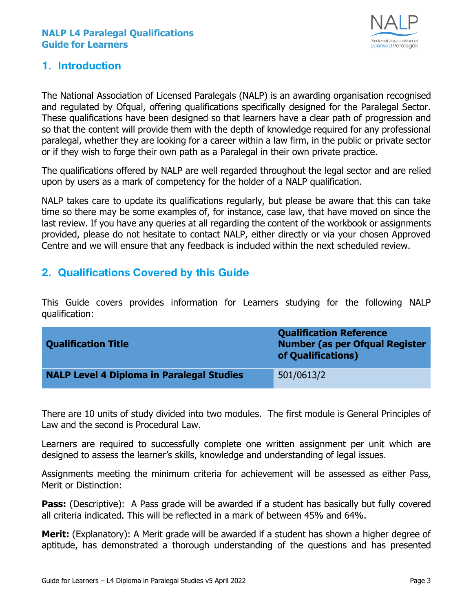

#### <span id="page-2-0"></span>**1. Introduction**

The National Association of Licensed Paralegals (NALP) is an awarding organisation recognised and regulated by Ofqual, offering qualifications specifically designed for the Paralegal Sector. These qualifications have been designed so that learners have a clear path of progression and so that the content will provide them with the depth of knowledge required for any professional paralegal, whether they are looking for a career within a law firm, in the public or private sector or if they wish to forge their own path as a Paralegal in their own private practice.

The qualifications offered by NALP are well regarded throughout the legal sector and are relied upon by users as a mark of competency for the holder of a NALP qualification.

NALP takes care to update its qualifications regularly, but please be aware that this can take time so there may be some examples of, for instance, case law, that have moved on since the last review. If you have any queries at all regarding the content of the workbook or assignments provided, please do not hesitate to contact NALP, either directly or via your chosen Approved Centre and we will ensure that any feedback is included within the next scheduled review.

# <span id="page-2-1"></span>**2. Qualifications Covered by this Guide**

This Guide covers provides information for Learners studying for the following NALP qualification:

| <b>Qualification Title</b>                       | <b>Qualification Reference</b><br><b>Number (as per Ofqual Register</b><br>of Qualifications) |
|--------------------------------------------------|-----------------------------------------------------------------------------------------------|
| <b>NALP Level 4 Diploma in Paralegal Studies</b> | 501/0613/2                                                                                    |

There are 10 units of study divided into two modules. The first module is General Principles of Law and the second is Procedural Law.

Learners are required to successfully complete one written assignment per unit which are designed to assess the learner's skills, knowledge and understanding of legal issues.

Assignments meeting the minimum criteria for achievement will be assessed as either Pass, Merit or Distinction:

**Pass:** (Descriptive): A Pass grade will be awarded if a student has basically but fully covered all criteria indicated. This will be reflected in a mark of between 45% and 64%.

**Merit:** (Explanatory): A Merit grade will be awarded if a student has shown a higher degree of aptitude, has demonstrated a thorough understanding of the questions and has presented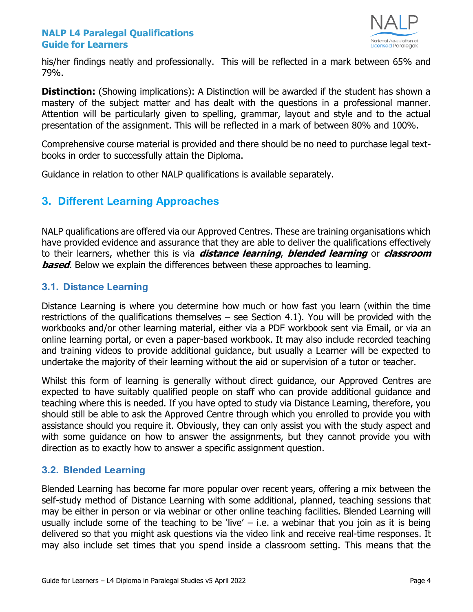

his/her findings neatly and professionally. This will be reflected in a mark between 65% and 79%.

**Distinction:** (Showing implications): A Distinction will be awarded if the student has shown a mastery of the subject matter and has dealt with the questions in a professional manner. Attention will be particularly given to spelling, grammar, layout and style and to the actual presentation of the assignment. This will be reflected in a mark of between 80% and 100%.

Comprehensive course material is provided and there should be no need to purchase legal textbooks in order to successfully attain the Diploma.

Guidance in relation to other NALP qualifications is available separately.

# <span id="page-3-0"></span>**3. Different Learning Approaches**

NALP qualifications are offered via our Approved Centres. These are training organisations which have provided evidence and assurance that they are able to deliver the qualifications effectively to their learners, whether this is via **distance learning**, **blended learning** or **classroom based**. Below we explain the differences between these approaches to learning.

#### <span id="page-3-1"></span>**3.1. Distance Learning**

Distance Learning is where you determine how much or how fast you learn (within the time restrictions of the qualifications themselves – see Section 4.1). You will be provided with the workbooks and/or other learning material, either via a PDF workbook sent via Email, or via an online learning portal, or even a paper-based workbook. It may also include recorded teaching and training videos to provide additional guidance, but usually a Learner will be expected to undertake the majority of their learning without the aid or supervision of a tutor or teacher.

Whilst this form of learning is generally without direct guidance, our Approved Centres are expected to have suitably qualified people on staff who can provide additional guidance and teaching where this is needed. If you have opted to study via Distance Learning, therefore, you should still be able to ask the Approved Centre through which you enrolled to provide you with assistance should you require it. Obviously, they can only assist you with the study aspect and with some guidance on how to answer the assignments, but they cannot provide you with direction as to exactly how to answer a specific assignment question.

#### <span id="page-3-2"></span>**3.2. Blended Learning**

Blended Learning has become far more popular over recent years, offering a mix between the self-study method of Distance Learning with some additional, planned, teaching sessions that may be either in person or via webinar or other online teaching facilities. Blended Learning will usually include some of the teaching to be 'live'  $-$  i.e. a webinar that you join as it is being delivered so that you might ask questions via the video link and receive real-time responses. It may also include set times that you spend inside a classroom setting. This means that the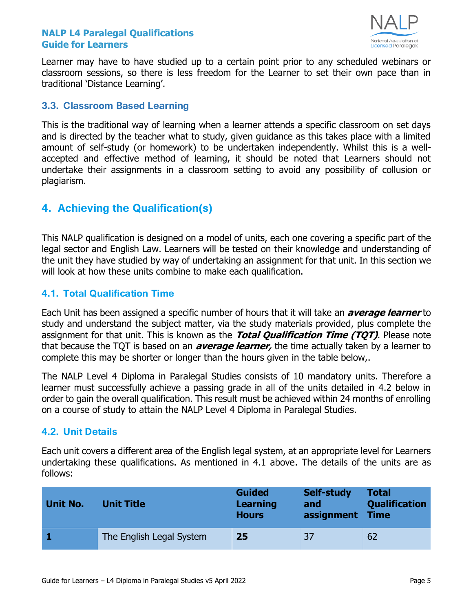

Learner may have to have studied up to a certain point prior to any scheduled webinars or classroom sessions, so there is less freedom for the Learner to set their own pace than in traditional 'Distance Learning'.

#### <span id="page-4-0"></span>**3.3. Classroom Based Learning**

This is the traditional way of learning when a learner attends a specific classroom on set days and is directed by the teacher what to study, given guidance as this takes place with a limited amount of self-study (or homework) to be undertaken independently. Whilst this is a wellaccepted and effective method of learning, it should be noted that Learners should not undertake their assignments in a classroom setting to avoid any possibility of collusion or plagiarism.

# <span id="page-4-1"></span>**4. Achieving the Qualification(s)**

This NALP qualification is designed on a model of units, each one covering a specific part of the legal sector and English Law. Learners will be tested on their knowledge and understanding of the unit they have studied by way of undertaking an assignment for that unit. In this section we will look at how these units combine to make each qualification.

#### <span id="page-4-2"></span>**4.1. Total Qualification Time**

Each Unit has been assigned a specific number of hours that it will take an **average learner** to study and understand the subject matter, via the study materials provided, plus complete the assignment for that unit. This is known as the **Total Qualification Time (TQT)**. Please note that because the TQT is based on an **average learner,** the time actually taken by a learner to complete this may be shorter or longer than the hours given in the table below,.

The NALP Level 4 Diploma in Paralegal Studies consists of 10 mandatory units. Therefore a learner must successfully achieve a passing grade in all of the units detailed in 4.2 below in order to gain the overall qualification. This result must be achieved within 24 months of enrolling on a course of study to attain the NALP Level 4 Diploma in Paralegal Studies.

#### <span id="page-4-3"></span>**4.2. Unit Details**

Each unit covers a different area of the English legal system, at an appropriate level for Learners undertaking these qualifications. As mentioned in 4.1 above. The details of the units are as follows:

| <b>Unit No.</b> | Unit Title               | <b>Guided</b><br><b>Learning</b><br><b>Hours</b> | Self-study<br>and<br>assignment | <b>Total</b><br><b>Qualification</b><br><b>Time</b> |
|-----------------|--------------------------|--------------------------------------------------|---------------------------------|-----------------------------------------------------|
|                 | The English Legal System | 25                                               | 37                              | 62                                                  |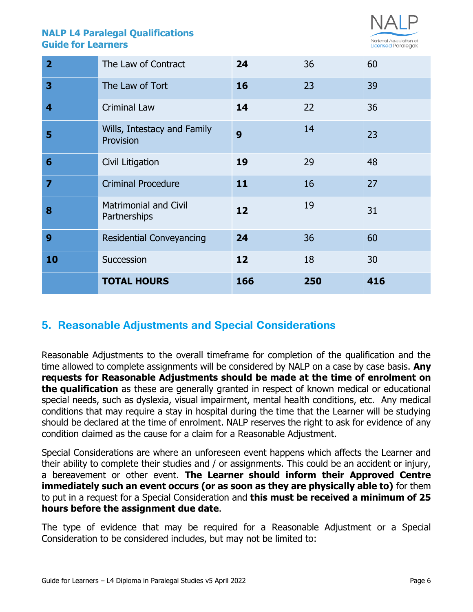

|                         | <b>TOTAL HOURS</b>                           | 166 | 250 | 416 |
|-------------------------|----------------------------------------------|-----|-----|-----|
| 10                      | Succession                                   | 12  | 18  | 30  |
| 9                       | <b>Residential Conveyancing</b>              | 24  | 36  | 60  |
| 8                       | <b>Matrimonial and Civil</b><br>Partnerships | 12  | 19  | 31  |
| $\overline{\mathbf{z}}$ | <b>Criminal Procedure</b>                    | 11  | 16  | 27  |
| $6\phantom{1}6$         | Civil Litigation                             | 19  | 29  | 48  |
| 5                       | Wills, Intestacy and Family<br>Provision     | 9   | 14  | 23  |
| 4                       | <b>Criminal Law</b>                          | 14  | 22  | 36  |
| 3                       | The Law of Tort                              | 16  | 23  | 39  |
| $\overline{2}$          | The Law of Contract                          | 24  | 36  | 60  |

# <span id="page-5-0"></span>**5. Reasonable Adjustments and Special Considerations**

Reasonable Adjustments to the overall timeframe for completion of the qualification and the time allowed to complete assignments will be considered by NALP on a case by case basis. **Any requests for Reasonable Adjustments should be made at the time of enrolment on the qualification** as these are generally granted in respect of known medical or educational special needs, such as dyslexia, visual impairment, mental health conditions, etc. Any medical conditions that may require a stay in hospital during the time that the Learner will be studying should be declared at the time of enrolment. NALP reserves the right to ask for evidence of any condition claimed as the cause for a claim for a Reasonable Adjustment.

Special Considerations are where an unforeseen event happens which affects the Learner and their ability to complete their studies and / or assignments. This could be an accident or injury, a bereavement or other event. **The Learner should inform their Approved Centre immediately such an event occurs (or as soon as they are physically able to)** for them to put in a request for a Special Consideration and **this must be received a minimum of 25 hours before the assignment due date**.

The type of evidence that may be required for a Reasonable Adjustment or a Special Consideration to be considered includes, but may not be limited to: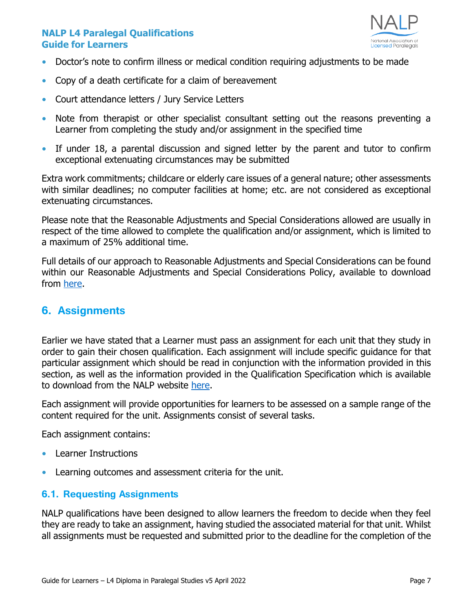

- **•** Doctor's note to confirm illness or medical condition requiring adjustments to be made
- **•** Copy of a death certificate for a claim of bereavement
- **•** Court attendance letters / Jury Service Letters
- **•** Note from therapist or other specialist consultant setting out the reasons preventing a Learner from completing the study and/or assignment in the specified time
- **•** If under 18, a parental discussion and signed letter by the parent and tutor to confirm exceptional extenuating circumstances may be submitted

Extra work commitments; childcare or elderly care issues of a general nature; other assessments with similar deadlines; no computer facilities at home; etc. are not considered as exceptional extenuating circumstances.

Please note that the Reasonable Adjustments and Special Considerations allowed are usually in respect of the time allowed to complete the qualification and/or assignment, which is limited to a maximum of 25% additional time.

Full details of our approach to Reasonable Adjustments and Special Considerations can be found within our Reasonable Adjustments and Special Considerations Policy, available to download from [here.](https://www.nationalparalegals.co.uk/nalp_policies_procedures)

### <span id="page-6-0"></span>**6. Assignments**

Earlier we have stated that a Learner must pass an assignment for each unit that they study in order to gain their chosen qualification. Each assignment will include specific guidance for that particular assignment which should be read in conjunction with the information provided in this section, as well as the information provided in the Qualification Specification which is available to download from the NALP website [here.](https://www.nationalparalegals.co.uk/level-4-diploma-qualification-specification-2)

Each assignment will provide opportunities for learners to be assessed on a sample range of the content required for the unit. Assignments consist of several tasks.

Each assignment contains:

- **•** Learner Instructions
- **•** Learning outcomes and assessment criteria for the unit.

#### <span id="page-6-1"></span>**6.1. Requesting Assignments**

NALP qualifications have been designed to allow learners the freedom to decide when they feel they are ready to take an assignment, having studied the associated material for that unit. Whilst all assignments must be requested and submitted prior to the deadline for the completion of the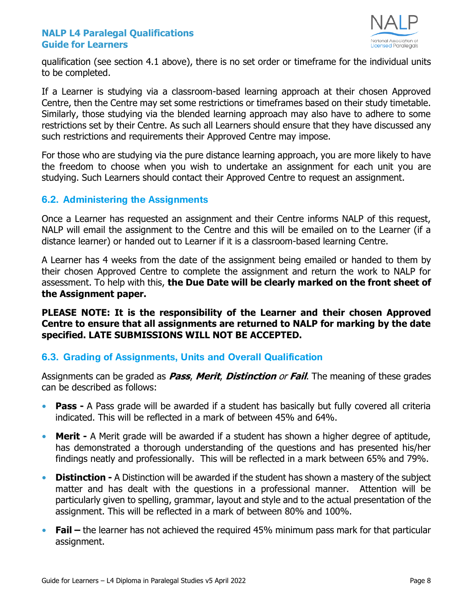

qualification (see section 4.1 above), there is no set order or timeframe for the individual units to be completed.

If a Learner is studying via a classroom-based learning approach at their chosen Approved Centre, then the Centre may set some restrictions or timeframes based on their study timetable. Similarly, those studying via the blended learning approach may also have to adhere to some restrictions set by their Centre. As such all Learners should ensure that they have discussed any such restrictions and requirements their Approved Centre may impose.

For those who are studying via the pure distance learning approach, you are more likely to have the freedom to choose when you wish to undertake an assignment for each unit you are studying. Such Learners should contact their Approved Centre to request an assignment.

#### <span id="page-7-0"></span>**6.2. Administering the Assignments**

Once a Learner has requested an assignment and their Centre informs NALP of this request, NALP will email the assignment to the Centre and this will be emailed on to the Learner (if a distance learner) or handed out to Learner if it is a classroom-based learning Centre.

A Learner has 4 weeks from the date of the assignment being emailed or handed to them by their chosen Approved Centre to complete the assignment and return the work to NALP for assessment. To help with this, **the Due Date will be clearly marked on the front sheet of the Assignment paper.**

#### **PLEASE NOTE: It is the responsibility of the Learner and their chosen Approved Centre to ensure that all assignments are returned to NALP for marking by the date specified. LATE SUBMISSIONS WILL NOT BE ACCEPTED.**

#### <span id="page-7-1"></span>**6.3. Grading of Assignments, Units and Overall Qualification**

Assignments can be graded as **Pass**, **Merit**, **Distinction** or **Fail**. The meaning of these grades can be described as follows:

- **• Pass -** A Pass grade will be awarded if a student has basically but fully covered all criteria indicated. This will be reflected in a mark of between 45% and 64%.
- **• Merit -** A Merit grade will be awarded if a student has shown a higher degree of aptitude, has demonstrated a thorough understanding of the questions and has presented his/her findings neatly and professionally. This will be reflected in a mark between 65% and 79%.
- **• Distinction -** A Distinction will be awarded if the student has shown a mastery of the subject matter and has dealt with the questions in a professional manner. Attention will be particularly given to spelling, grammar, layout and style and to the actual presentation of the assignment. This will be reflected in a mark of between 80% and 100%.
- **• Fail –** the learner has not achieved the required 45% minimum pass mark for that particular assignment.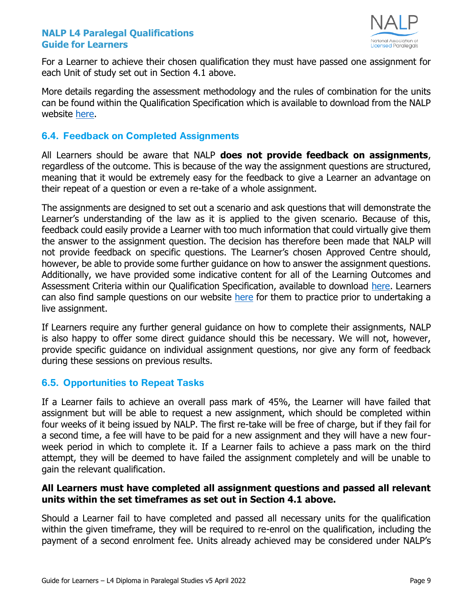

For a Learner to achieve their chosen qualification they must have passed one assignment for each Unit of study set out in Section 4.1 above.

More details regarding the assessment methodology and the rules of combination for the units can be found within the Qualification Specification which is available to download from the NALP website [here.](https://www.nationalparalegals.co.uk/level-4-diploma-qualification-specification-2)

#### <span id="page-8-0"></span>**6.4. Feedback on Completed Assignments**

All Learners should be aware that NALP **does not provide feedback on assignments**, regardless of the outcome. This is because of the way the assignment questions are structured, meaning that it would be extremely easy for the feedback to give a Learner an advantage on their repeat of a question or even a re-take of a whole assignment.

The assignments are designed to set out a scenario and ask questions that will demonstrate the Learner's understanding of the law as it is applied to the given scenario. Because of this, feedback could easily provide a Learner with too much information that could virtually give them the answer to the assignment question. The decision has therefore been made that NALP will not provide feedback on specific questions. The Learner's chosen Approved Centre should, however, be able to provide some further guidance on how to answer the assignment questions. Additionally, we have provided some indicative content for all of the Learning Outcomes and Assessment Criteria within our Qualification Specification, available to download [here.](https://www.nationalparalegals.co.uk/level-4-diploma-details) Learners can also find sample questions on our website [here](https://cdn2.buildcms.co.uk/02d9y74y5g84/files/SAMPLE%20QUESTIONS%20FOR%20LEVEL%204%20DIPLOMA%20IN%20PARALEGAL%20STUDIES.pdf) for them to practice prior to undertaking a live assignment.

If Learners require any further general guidance on how to complete their assignments, NALP is also happy to offer some direct guidance should this be necessary. We will not, however, provide specific guidance on individual assignment questions, nor give any form of feedback during these sessions on previous results.

#### <span id="page-8-1"></span>**6.5. Opportunities to Repeat Tasks**

If a Learner fails to achieve an overall pass mark of 45%, the Learner will have failed that assignment but will be able to request a new assignment, which should be completed within four weeks of it being issued by NALP. The first re-take will be free of charge, but if they fail for a second time, a fee will have to be paid for a new assignment and they will have a new fourweek period in which to complete it. If a Learner fails to achieve a pass mark on the third attempt, they will be deemed to have failed the assignment completely and will be unable to gain the relevant qualification.

#### **All Learners must have completed all assignment questions and passed all relevant units within the set timeframes as set out in Section 4.1 above.**

Should a Learner fail to have completed and passed all necessary units for the qualification within the given timeframe, they will be required to re-enrol on the qualification, including the payment of a second enrolment fee. Units already achieved may be considered under NALP's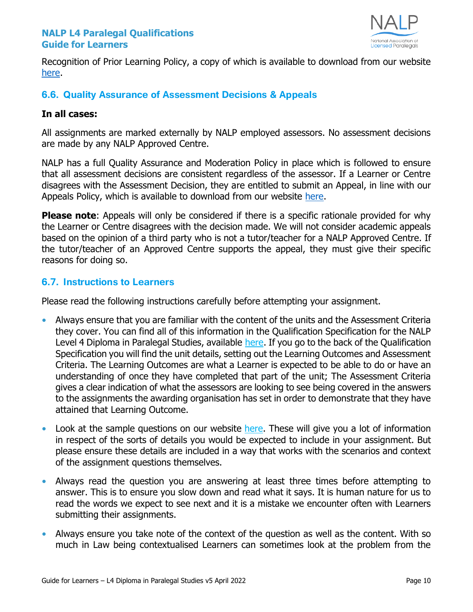

Recognition of Prior Learning Policy, a copy of which is available to download from our website [here.](https://www.nationalparalegals.co.uk/nalp_policies_procedures)

#### <span id="page-9-0"></span>**6.6. Quality Assurance of Assessment Decisions & Appeals**

#### **In all cases:**

All assignments are marked externally by NALP employed assessors. No assessment decisions are made by any NALP Approved Centre.

NALP has a full Quality Assurance and Moderation Policy in place which is followed to ensure that all assessment decisions are consistent regardless of the assessor. If a Learner or Centre disagrees with the Assessment Decision, they are entitled to submit an Appeal, in line with our Appeals Policy, which is available to download from our website [here.](https://www.nationalparalegals.co.uk/nalp_policies_procedures)

**Please note:** Appeals will only be considered if there is a specific rationale provided for why the Learner or Centre disagrees with the decision made. We will not consider academic appeals based on the opinion of a third party who is not a tutor/teacher for a NALP Approved Centre. If the tutor/teacher of an Approved Centre supports the appeal, they must give their specific reasons for doing so.

#### <span id="page-9-1"></span>**6.7. Instructions to Learners**

Please read the following instructions carefully before attempting your assignment.

- **•** Always ensure that you are familiar with the content of the units and the Assessment Criteria they cover. You can find all of this information in the Qualification Specification for the NALP Level 4 Diploma in Paralegal Studies, available [here.](https://www.nationalparalegals.co.uk/level-4-diploma-qualification-specification-2) If you go to the back of the Qualification Specification you will find the unit details, setting out the Learning Outcomes and Assessment Criteria. The Learning Outcomes are what a Learner is expected to be able to do or have an understanding of once they have completed that part of the unit; The Assessment Criteria gives a clear indication of what the assessors are looking to see being covered in the answers to the assignments the awarding organisation has set in order to demonstrate that they have attained that Learning Outcome.
- Look at the sample questions on our website [here.](https://cdn.buildresources.co.uk/sites/698/docs/SAMPLE_QUESTIONS_FOR_LEVEL_4_DIPLOMA_IN_PARALEGAL_STUDIES.pdf) These will give you a lot of information in respect of the sorts of details you would be expected to include in your assignment. But please ensure these details are included in a way that works with the scenarios and context of the assignment questions themselves.
- **•** Always read the question you are answering at least three times before attempting to answer. This is to ensure you slow down and read what it says. It is human nature for us to read the words we expect to see next and it is a mistake we encounter often with Learners submitting their assignments.
- **•** Always ensure you take note of the context of the question as well as the content. With so much in Law being contextualised Learners can sometimes look at the problem from the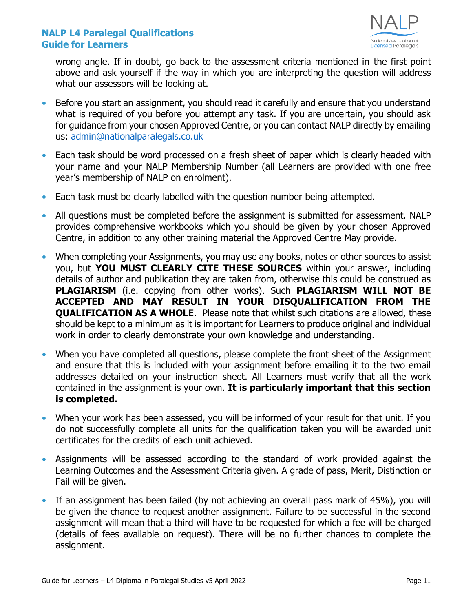

wrong angle. If in doubt, go back to the assessment criteria mentioned in the first point above and ask yourself if the way in which you are interpreting the question will address what our assessors will be looking at.

- **•** Before you start an assignment, you should read it carefully and ensure that you understand what is required of you before you attempt any task. If you are uncertain, you should ask for guidance from your chosen Approved Centre, or you can contact NALP directly by emailing us: [admin@nationalparalegals.co.uk](mailto:admin@nationalparalegals.co.uk)
- **•** Each task should be word processed on a fresh sheet of paper which is clearly headed with your name and your NALP Membership Number (all Learners are provided with one free year's membership of NALP on enrolment).
- **•** Each task must be clearly labelled with the question number being attempted.
- **•** All questions must be completed before the assignment is submitted for assessment. NALP provides comprehensive workbooks which you should be given by your chosen Approved Centre, in addition to any other training material the Approved Centre May provide.
- When completing your Assignments, you may use any books, notes or other sources to assist you, but **YOU MUST CLEARLY CITE THESE SOURCES** within your answer, including details of author and publication they are taken from, otherwise this could be construed as **PLAGIARISM** (i.e. copying from other works). Such **PLAGIARISM WILL NOT BE ACCEPTED AND MAY RESULT IN YOUR DISQUALIFICATION FROM THE QUALIFICATION AS A WHOLE**. Please note that whilst such citations are allowed, these should be kept to a minimum as it is important for Learners to produce original and individual work in order to clearly demonstrate your own knowledge and understanding.
- **•** When you have completed all questions, please complete the front sheet of the Assignment and ensure that this is included with your assignment before emailing it to the two email addresses detailed on your instruction sheet. All Learners must verify that all the work contained in the assignment is your own. **It is particularly important that this section is completed.**
- **•** When your work has been assessed, you will be informed of your result for that unit. If you do not successfully complete all units for the qualification taken you will be awarded unit certificates for the credits of each unit achieved.
- **•** Assignments will be assessed according to the standard of work provided against the Learning Outcomes and the Assessment Criteria given. A grade of pass, Merit, Distinction or Fail will be given.
- **•** If an assignment has been failed (by not achieving an overall pass mark of 45%), you will be given the chance to request another assignment. Failure to be successful in the second assignment will mean that a third will have to be requested for which a fee will be charged (details of fees available on request). There will be no further chances to complete the assignment.